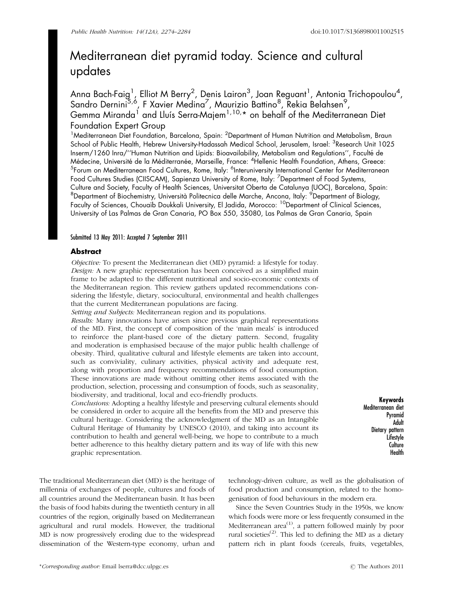# Mediterranean diet pyramid today. Science and cultural updates

Anna Bach-Faig $^1$ , Elliot M Berry $^2$ , Denis Lairon $^3$ , Joan Reguant $^1$ , Antonia Trichopoulou $^4$ , Sandro Dernini<sup>5,6</sup>, F Xavier Medina<sup>7</sup>, Maurizio Battino<sup>8</sup>, Rekia Belahsen<sup>9</sup>, Gemma Miranda<sup>1</sup> and Lluís Serra-Majem<sup>1,10,</sup>\* on behalf of the Mediterranean Diet Foundation Expert Group

<sup>1</sup>Mediterranean Diet Foundation, Barcelona, Spain: <sup>2</sup>Department of Human Nutrition and Metabolism, Braun School of Public Health, Hebrew University-Hadassah Medical School, Jerusalem, Israel: <sup>3</sup>Research Unit 1025 Inserm/1260 Inra/"Human Nutrition and Lipids: Bioavailability, Metabolism and Regulations", Faculté de Médecine, Université de la Méditerranée, Marseille, France: <sup>4</sup>Hellenic Health Foundation, Athens, Greece: <sup>5</sup>Forum on Mediterranean Food Cultures, Rome, Italy: <sup>6</sup>Interuniversity International Center for Mediterranean Food Cultures Studies (CIISCAM), Sapienza University of Rome, Italy: <sup>7</sup>Department of Food Systems, Culture and Society, Faculty of Health Sciences, Universitat Oberta de Catalunya (UOC), Barcelona, Spain:  $^8$ Department of Biochemistry, Università Politecnica delle Marche, Ancona, Italy:  $^9$ Department of Biology, Faculty of Sciences, Chouaïb Doukkali University, El Jadida, Morocco: <sup>10</sup>Department of Clinical Sciences, University of Las Palmas de Gran Canaria, PO Box 550, 35080, Las Palmas de Gran Canaria, Spain

## Submitted 13 May 2011: Accepted 7 September 2011

# **Abstract**

Objective: To present the Mediterranean diet (MD) pyramid: a lifestyle for today. Design: A new graphic representation has been conceived as a simplified main frame to be adapted to the different nutritional and socio-economic contexts of the Mediterranean region. This review gathers updated recommendations considering the lifestyle, dietary, sociocultural, environmental and health challenges that the current Mediterranean populations are facing.

Setting and Subjects: Mediterranean region and its populations.

Results: Many innovations have arisen since previous graphical representations of the MD. First, the concept of composition of the 'main meals' is introduced to reinforce the plant-based core of the dietary pattern. Second, frugality and moderation is emphasised because of the major public health challenge of obesity. Third, qualitative cultural and lifestyle elements are taken into account, such as conviviality, culinary activities, physical activity and adequate rest, along with proportion and frequency recommendations of food consumption. These innovations are made without omitting other items associated with the production, selection, processing and consumption of foods, such as seasonality, biodiversity, and traditional, local and eco-friendly products.

Conclusions: Adopting a healthy lifestyle and preserving cultural elements should be considered in order to acquire all the benefits from the MD and preserve this cultural heritage. Considering the acknowledgment of the MD as an Intangible Cultural Heritage of Humanity by UNESCO (2010), and taking into account its contribution to health and general well-being, we hope to contribute to a much better adherence to this healthy dietary pattern and its way of life with this new graphic representation.

Keywords Mediterranean diet Pyramid Adult Dietary pattern Lifestyle **Culture Health** 

The traditional Mediterranean diet (MD) is the heritage of millennia of exchanges of people, cultures and foods of all countries around the Mediterranean basin. It has been the basis of food habits during the twentieth century in all countries of the region, originally based on Mediterranean agricultural and rural models. However, the traditional MD is now progressively eroding due to the widespread dissemination of the Western-type economy, urban and

technology-driven culture, as well as the globalisation of food production and consumption, related to the homogenisation of food behaviours in the modern era.

Since the Seven Countries Study in the 1950s, we know which foods were more or less frequently consumed in the Mediterranean area<sup>(1)</sup>, a pattern followed mainly by poor rural societies<sup> $(2)$ </sup>. This led to defining the MD as a dietary pattern rich in plant foods (cereals, fruits, vegetables,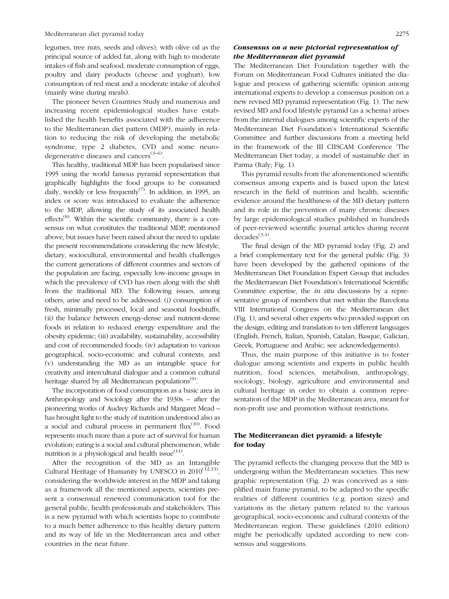legumes, tree nuts, seeds and olives), with olive oil as the principal source of added fat, along with high to moderate intakes of fish and seafood, moderate consumption of eggs, poultry and dairy products (cheese and yoghurt), low consumption of red meat and a moderate intake of alcohol (mainly wine during meals).

The pioneer Seven Countries Study and numerous and increasing recent epidemiological studies have established the health benefits associated with the adherence to the Mediterranean diet pattern (MDP), mainly in relation to reducing the risk of developing the metabolic syndrome, type 2 diabetes, CVD and some neurodegenerative diseases and cancers<sup>(3–6)</sup>.

This healthy, traditional MDP has been popularised since 1995 using the world famous pyramid representation that graphically highlights the food groups to be consumed daily, weekly or less frequently<sup>(7)</sup>. In addition, in 1995, an index or score was introduced to evaluate the adherence to the MDP, allowing the study of its associated health effects<sup>(8)</sup>. Within the scientific community, there is a consensus on what constitutes the traditional MDP, mentioned above, but issues have been raised about the need to update the present recommendations considering the new lifestyle, dietary, sociocultural, environmental and health challenges the current generations of different countries and sectors of the population are facing, especially low-income groups in which the prevalence of CVD has risen along with the shift from the traditional MD. The following issues, among others, arise and need to be addressed: (i) consumption of fresh, minimally processed, local and seasonal foodstuffs; (ii) the balance between energy-dense and nutrient-dense foods in relation to reduced energy expenditure and the obesity epidemic; (iii) availability, sustainability, accessibility and cost of recommended foods; (iv) adaptation to various geographical, socio-economic and cultural contexts; and (v) understanding the MD as an intangible space for creativity and intercultural dialogue and a common cultural heritage shared by all Mediterranean populations<sup>(9)</sup>.

The incorporation of food consumption as a basic area in Anthropology and Sociology after the 1930s – after the pioneering works of Audrey Richards and Margaret Mead – has brought light to the study of nutrition understood also as a social and cultural process in permanent flux $(10)$ . Food represents much more than a pure act of survival for human evolution; eating is a social and cultural phenomenon, while nutrition is a physiological and health issue $<sup>(11)</sup>$ .</sup>

After the recognition of the MD as an Intangible Cultural Heritage of Humanity by UNESCO in  $2010^{(12,13)}$ , considering the worldwide interest in the MDP and taking as a framework all the mentioned aspects, scientists present a consensual renewed communication tool for the general public, health professionals and stakeholders. This is a new pyramid with which scientists hope to contribute to a much better adherence to this healthy dietary pattern and its way of life in the Mediterranean area and other countries in the near future.

# Consensus on a new pictorial representation of the Mediterranean diet pyramid

The Mediterranean Diet Foundation together with the Forum on Mediterranean Food Cultures initiated the dialogue and process of gathering scientific opinion among international experts to develop a consensus position on a new revised MD pyramid representation (Fig. 1). The new revised MD and food lifestyle pyramid (as a schema) arises from the internal dialogues among scientific experts of the Mediterranean Diet Foundation's International Scientific Committee and further discussions from a meeting held in the framework of the III CIISCAM Conference 'The Mediterranean Diet today, a model of sustainable diet' in Parma (Italy; Fig. 1).

This pyramid results from the aforementioned scientific consensus among experts and is based upon the latest research in the field of nutrition and health, scientific evidence around the healthiness of the MD dietary pattern and its role in the prevention of many chronic diseases by large epidemiological studies published in hundreds of peer-reviewed scientific journal articles during recent  $decades^{(3,4)}$ .

The final design of the MD pyramid today (Fig. 2) and a brief complementary text for the general public (Fig. 3) have been developed by the gathered opinions of the Mediterranean Diet Foundation Expert Group that includes the Mediterranean Diet Foundation's International Scientific Committee expertise, the in situ discussions by a representative group of members that met within the Barcelona VIII International Congress on the Mediterranean diet (Fig. 1), and several other experts who provided support on the design, editing and translation to ten different languages (English, French, Italian, Spanish, Catalan, Basque, Galician, Greek, Portuguese and Arabic; see acknowledgements).

Thus, the main purpose of this initiative is to foster dialogue among scientists and experts in public health nutrition, food sciences, metabolism, anthropology, sociology, biology, agriculture and environmental and cultural heritage in order to obtain a common representation of the MDP in the Mediterranean area, meant for non-profit use and promotion without restrictions.

# The Mediterranean diet pyramid: a lifestyle for today

The pyramid reflects the changing process that the MD is undergoing within the Mediterranean societies. This new graphic representation (Fig. 2) was conceived as a simplified main frame pyramid, to be adapted to the specific realities of different countries (e.g. portion sizes) and variations in the dietary pattern related to the various geographical, socio-economic and cultural contexts of the Mediterranean region. These guidelines (2010 edition) might be periodically updated according to new consensus and suggestions.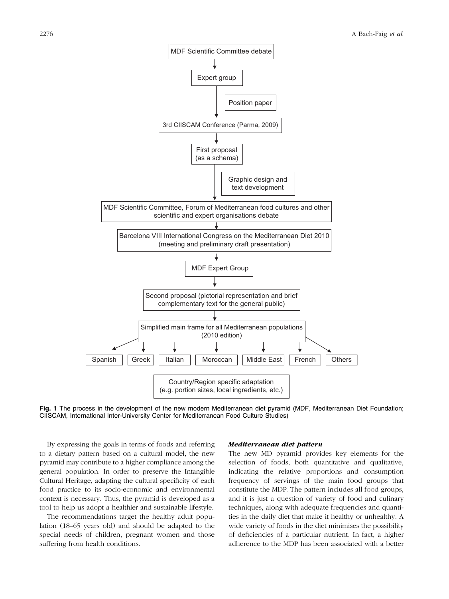

Fig. 1 The process in the development of the new modern Mediterranean diet pyramid (MDF, Mediterranean Diet Foundation; CIISCAM, International Inter-University Center for Mediterranean Food Culture Studies)

By expressing the goals in terms of foods and referring to a dietary pattern based on a cultural model, the new pyramid may contribute to a higher compliance among the general population. In order to preserve the Intangible Cultural Heritage, adapting the cultural specificity of each food practice to its socio-economic and environmental context is necessary. Thus, the pyramid is developed as a tool to help us adopt a healthier and sustainable lifestyle.

The recommendations target the healthy adult population (18–65 years old) and should be adapted to the special needs of children, pregnant women and those suffering from health conditions.

### Mediterranean diet pattern

The new MD pyramid provides key elements for the selection of foods, both quantitative and qualitative, indicating the relative proportions and consumption frequency of servings of the main food groups that constitute the MDP. The pattern includes all food groups, and it is just a question of variety of food and culinary techniques, along with adequate frequencies and quantities in the daily diet that make it healthy or unhealthy. A wide variety of foods in the diet minimises the possibility of deficiencies of a particular nutrient. In fact, a higher adherence to the MDP has been associated with a better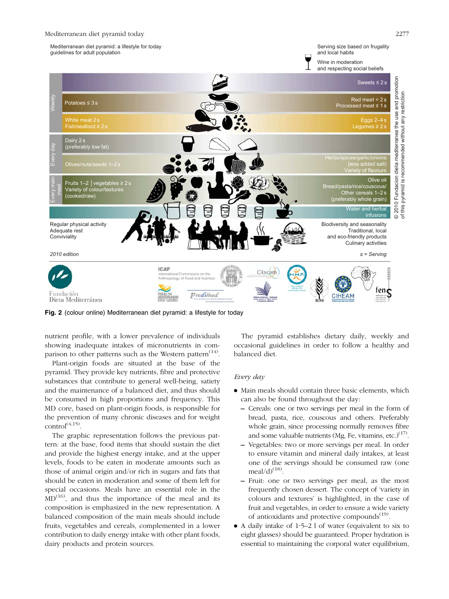#### Mediterranean diet pyramid today 2277

Mediterranean diet pyramid: a lifestyle for today guidelines for adult population



Fig. 2 (colour online) Mediterranean diet pyramid: a lifestyle for today

nutrient profile, with a lower prevalence of individuals showing inadequate intakes of micronutrients in comparison to other patterns such as the Western pattern<sup> $(14)$ </sup>.

Plant-origin foods are situated at the base of the pyramid. They provide key nutrients, fibre and protective substances that contribute to general well-being, satiety and the maintenance of a balanced diet, and thus should be consumed in high proportions and frequency. This MD core, based on plant-origin foods, is responsible for the prevention of many chronic diseases and for weight  $control<sup>(4,15)</sup>$ .

The graphic representation follows the previous pattern: at the base, food items that should sustain the diet and provide the highest energy intake, and at the upper levels, foods to be eaten in moderate amounts such as those of animal origin and/or rich in sugars and fats that should be eaten in moderation and some of them left for special occasions. Meals have an essential role in the  $MD<sup>(16)</sup>$ , and thus the importance of the meal and its composition is emphasized in the new representation. A balanced composition of the main meals should include fruits, vegetables and cereals, complemented in a lower contribution to daily energy intake with other plant foods, dairy products and protein sources.

The pyramid establishes dietary daily, weekly and occasional guidelines in order to follow a healthy and balanced diet.

## Every day

- <sup>&</sup>gt; Main meals should contain three basic elements, which can also be found throughout the day:
	- Cereals: one or two servings per meal in the form of bread, pasta, rice, couscous and others. Preferably whole grain, since processing normally removes fibre and some valuable nutrients (Mg, Fe, vitamins, etc.) $(17)$ .
	- Vegetables: two or more servings per meal. In order to ensure vitamin and mineral daily intakes, at least one of the servings should be consumed raw (one  $meal/d$ <sup> $(18)$ </sup>.
	- Fruit: one or two servings per meal, as the most frequently chosen dessert. The concept of 'variety in colours and textures' is highlighted, in the case of fruit and vegetables, in order to ensure a wide variety of antioxidants and protective compounds $(19)$ .
- <sup>&</sup>gt; A daily intake of 1?5–2 l of water (equivalent to six to eight glasses) should be guaranteed. Proper hydration is essential to maintaining the corporal water equilibrium,

Serving size based on frugality

and local habits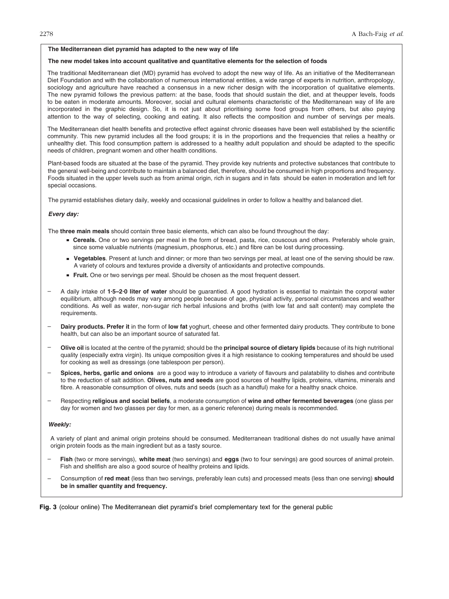#### **The Mediterranean diet pyramid has adapted to the new way of life**

#### **The new model takes into account qualitative and quantitative elements for the selection of foods**

The traditional Mediterranean diet (MD) pyramid has evolved to adopt the new way of life. As an initiative of the Mediterranean Diet Foundation and with the collaboration of numerous international entities, a wide range of experts in nutrition, anthropology, sociology and agriculture have reached a consensus in a new richer design with the incorporation of qualitative elements. The new pyramid follows the previous pattern: at the base, foods that should sustain the diet, and at theupper levels, foods to be eaten in moderate amounts. Moreover, social and cultural elements characteristic of the Mediterranean way of life are incorporated in the graphic design. So, it is not just about prioritising some food groups from others, but also paying attention to the way of selecting, cooking and eating. It also reflects the composition and number of servings per meals.

The Mediterranean diet health benefits and protective effect against chronic diseases have been well established by the scientific community. This new pyramid includes all the food groups; it is in the proportions and the frequencies that relies a healthy or unhealthy diet. This food consumption pattern is addressed to a healthy adult population and should be adapted to the specific needs of children, pregnant women and other health conditions.

Plant-based foods are situated at the base of the pyramid. They provide key nutrients and protective substances that contribute to the general well-being and contribute to maintain a balanced diet, therefore, should be consumed in high proportions and frequency. Foods situated in the upper levels such as from animal origin, rich in sugars and in fats should be eaten in moderation and left for special occasions.

The pyramid establishes dietary daily, weekly and occasional guidelines in order to follow a healthy and balanced diet.

#### *Every day:*

The **three main meals** should contain three basic elements, which can also be found throughout the day:

- **Cereals.** One or two servings per meal in the form of bread, pasta, rice, couscous and others. Preferably whole grain, since some valuable nutrients (magnesium, phosphorus, etc.) and fibre can be lost during processing.
- **Vegetables**. Present at lunch and dinner; or more than two servings per meal, at least one of the serving should be raw. A variety of colours and textures provide a diversity of antioxidants and protective compounds.
- **Fruit.** One or two servings per meal. Should be chosen as the most frequent dessert.
- A daily intake of **1.5–2.0 liter of water** should be guarantied. A good hydration is essential to maintain the corporal water equilibrium, although needs may vary among people because of age, physical activity, personal circumstances and weather conditions. As well as water, non-sugar rich herbal infusions and broths (with low fat and salt content) may complete the requirements.
- **Dairy products. Prefer it** in the form of **low fat** yoghurt, cheese and other fermented dairy products. They contribute to bone health, but can also be an important source of saturated fat.
- **Olive oil** is located at the centre of the pyramid; should be the **principal source of dietary lipids** because of its high nutritional quality (especially extra virgin). Its unique composition gives it a high resistance to cooking temperatures and should be used for cooking as well as dressings (one tablespoon per person).
- **Spices, herbs, garlic and onions** are a good way to introduce a variety of flavours and palatability to dishes and contribute to the reduction of salt addition. **Olives, nuts and seeds** are good sources of healthy lipids, proteins, vitamins, minerals and fibre. A reasonable consumption of olives, nuts and seeds (such as a handful) make for a healthy snack choice.
- Respecting **religious and social beliefs**, a moderate consumption of **wine and other fermented beverages** (one glass per day for women and two glasses per day for men, as a generic reference) during meals is recommended.

#### *Weekly:*

A variety of plant and animal origin proteins should be consumed. Mediterranean traditional dishes do not usually have animal origin protein foods as the main ingredient but as a tasty source.

- **Fish** (two or more servings), **white meat** (two servings) and **eggs** (two to four servings) are good sources of animal protein. Fish and shellfish are also a good source of healthy proteins and lipids.
- Consumption of **red meat** (less than two servings, preferably lean cuts) and processed meats (less than one serving) **should be in smaller quantity and frequency.**

Fig. 3 (colour online) The Mediterranean diet pyramid's brief complementary text for the general public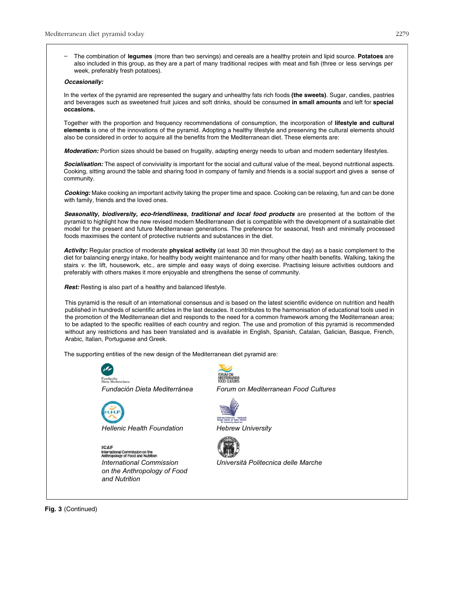– The combination of **legumes** (more than two servings) and cereals are a healthy protein and lipid source. **Potatoes** are also included in this group, as they are a part of many traditional recipes with meat and fish (three or less servings per week, preferably fresh potatoes).

## *Occasionally:*

In the vertex of the pyramid are represented the sugary and unhealthy fats rich foods **(the sweets)**. Sugar, candies, pastries and beverages such as sweetened fruit juices and soft drinks, should be consumed **in small amounts** and left for **special occasions.** 

Together with the proportion and frequency recommendations of consumption, the incorporation of **lifestyle and cultural elements** is one of the innovations of the pyramid. Adopting a healthy lifestyle and preserving the cultural elements should also be considered in order to acquire all the benefits from the Mediterranean diet. These elements are:

*Moderation:* Portion sizes should be based on frugality, adapting energy needs to urban and modern sedentary lifestyles.

*Socialisation:* The aspect of conviviality is important for the social and cultural value of the meal, beyond nutritional aspects. Cooking, sitting around the table and sharing food in company of family and friends is a social support and gives a sense of community.

*Cooking:* Make cooking an important activity taking the proper time and space. Cooking can be relaxing, fun and can be done with family, friends and the loved ones.

*Seasonality, biodiversity, eco-friendliness, traditional and local food products* are presented at the bottom of the pyramid to highlight how the new revised modern Mediterranean diet is compatible with the development of a sustainable diet model for the present and future Mediterranean generations. The preference for seasonal, fresh and minimally processed foods maximises the content of protective nutrients and substances in the diet.

*Activity:* Regular practice of moderate **physical activity** (at least 30 min throughout the day) as a basic complement to the diet for balancing energy intake, for healthy body weight maintenance and for many other health benefits. Walking, taking the stairs v. the lift, housework, etc., are simple and easy ways of doing exercise. Practising leisure activities outdoors and preferably with others makes it more enjoyable and strengthens the sense of community.

*Rest:* Resting is also part of a healthy and balanced lifestyle.

This pyramid is the result of an international consensus and is based on the latest scientific evidence on nutrition and health published in hundreds of scientific articles in the last decades. It contributes to the harmonisation of educational tools used in the promotion of the Mediterranean diet and responds to the need for a common framework among the Mediterranean area; to be adapted to the specific realities of each country and region. The use and promotion of this pyramid is recommended without any restrictions and has been translated and is available in English, Spanish, Catalan, Galician, Basque, French, Arabic, Italian, Portuguese and Greek.

The supporting entities of the new design of the Mediterranean diet pyramid are:



*Fundación Dieta Mediterránea*



*Hellenic Health Foundation*

**ICAF** International Commission on the<br>Anthropology of Food and Nutrition *International Commission on the Anthropology of Food and Nutrition* 

*Forum on Mediterranean Food Cultures*



*Hebrew University*



*Università Politecnica delle Marche*

Fig. 3 (Continued)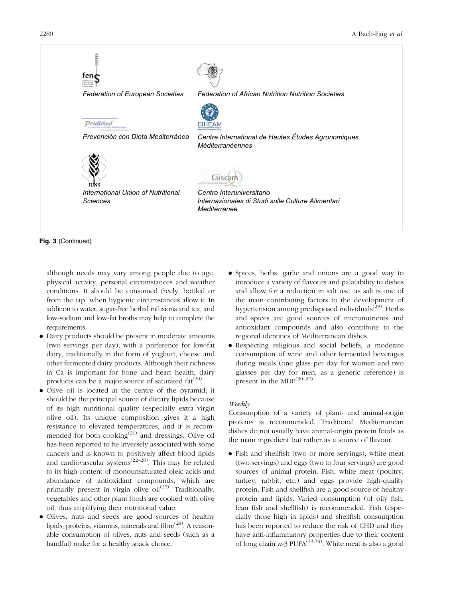

# Fig. 3 (Continued)

although needs may vary among people due to age, physical activity, personal circumstances and weather conditions. It should be consumed freely, bottled or from the tap, when hygienic circumstances allow it. In addition to water, sugar-free herbal infusions and tea, and low-sodium and low-fat broths may help to complete the requirements.

- <sup>&</sup>gt; Dairy products should be present in moderate amounts (two servings per day), with a preference for low-fat dairy, traditionally in the form of yoghurt, cheese and other fermented dairy products. Although their richness in Ca is important for bone and heart health, dairy products can be a major source of saturated  $fat^{(20)}$ .
- <sup>&</sup>gt; Olive oil is located at the centre of the pyramid; it should be the principal source of dietary lipids because of its high nutritional quality (especially extra virgin olive oil). Its unique composition gives it a high resistance to elevated temperatures, and it is recommended for both cooking<sup>(21)</sup> and dressings. Olive oil has been reported to be inversely associated with some cancers and is known to positively affect blood lipids and cardiovascular systems<sup> $(22-26)$ </sup>. This may be related to its high content of monounsaturated oleic acids and abundance of antioxidant compounds, which are primarily present in virgin olive  $\text{oil}^{(27)}$ . Traditionally, vegetables and other plant foods are cooked with olive oil, thus amplifying their nutritional value.
- <sup>&</sup>gt; Olives, nuts and seeds are good sources of healthy lipids, proteins, vitamins, minerals and fibre<sup>(28)</sup>. A reasonable consumption of olives, nuts and seeds (such as a handful) make for a healthy snack choice.
- <sup>&</sup>gt; Spices, herbs, garlic and onions are a good way to introduce a variety of flavours and palatability to dishes and allow for a reduction in salt use, as salt is one of the main contributing factors to the development of hypertension among predisposed individuals $^{(29)}$ . Herbs and spices are good sources of micronutrients and antioxidant compounds and also contribute to the regional identities of Mediterranean dishes.
- <sup>&</sup>gt; Respecting religious and social beliefs, a moderate consumption of wine and other fermented beverages during meals (one glass per day for women and two glasses per day for men, as a generic reference) is present in the  $MDP^{(30-32)}$ .

## Weekly

Consumption of a variety of plant- and animal-origin proteins is recommended. Traditional Mediterranean dishes do not usually have animal-origin protein foods as the main ingredient but rather as a source of flavour.

<sup>&</sup>gt; Fish and shellfish (two or more servings), white meat (two servings) and eggs (two to four servings) are good sources of animal protein. Fish, white meat (poultry, turkey, rabbit, etc.) and eggs provide high-quality protein. Fish and shellfish are a good source of healthy protein and lipids. Varied consumption (of oily fish, lean fish and shellfish) is recommended. Fish (especially those high in lipids) and shellfish consumption has been reported to reduce the risk of CHD and they have anti-inflammatory properties due to their content of long chain  $n-3$  PUFA<sup>(33,34)</sup>. White meat is also a good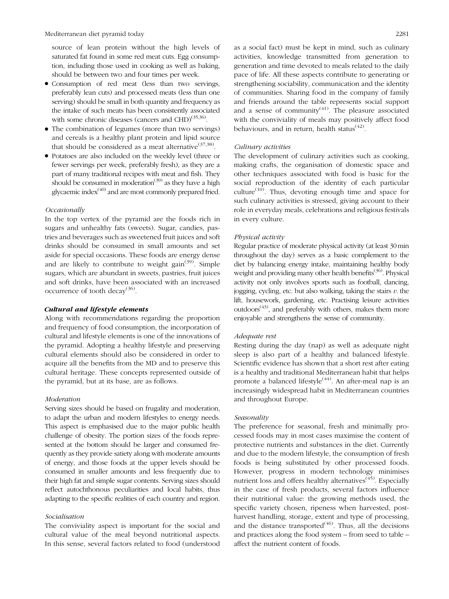source of lean protein without the high levels of saturated fat found in some red meat cuts. Egg consumption, including those used in cooking as well as baking, should be between two and four times per week.

- <sup>&</sup>gt; Consumption of red meat (less than two servings, preferably lean cuts) and processed meats (less than one serving) should be small in both quantity and frequency as the intake of such meats has been consistently associated with some chronic diseases (cancers and CHD) $^{(35,36)}$ .
- The combination of legumes (more than two servings) and cereals is a healthy plant protein and lipid source that should be considered as a meat alternative<sup> $(37,38)$ </sup>.
- <sup>&</sup>gt; Potatoes are also included on the weekly level (three or fewer servings per week, preferably fresh), as they are a part of many traditional recipes with meat and fish. They should be consumed in moderation<sup>(39)</sup> as they have a high glycaemic index $(40)$  and are most commonly prepared fried.

## **Occasionally**

In the top vertex of the pyramid are the foods rich in sugars and unhealthy fats (sweets). Sugar, candies, pastries and beverages such as sweetened fruit juices and soft drinks should be consumed in small amounts and set aside for special occasions. These foods are energy dense and are likely to contribute to weight gain<sup> $(39)$ </sup>. Simple sugars, which are abundant in sweets, pastries, fruit juices and soft drinks, have been associated with an increased occurrence of tooth decay<sup>(36)</sup>.

# Cultural and lifestyle elements

Along with recommendations regarding the proportion and frequency of food consumption, the incorporation of cultural and lifestyle elements is one of the innovations of the pyramid. Adopting a healthy lifestyle and preserving cultural elements should also be considered in order to acquire all the benefits from the MD and to preserve this cultural heritage. These concepts represented outside of the pyramid, but at its base, are as follows.

## Moderation

Serving sizes should be based on frugality and moderation, to adapt the urban and modern lifestyles to energy needs. This aspect is emphasised due to the major public health challenge of obesity. The portion sizes of the foods represented at the bottom should be larger and consumed frequently as they provide satiety along with moderate amounts of energy, and those foods at the upper levels should be consumed in smaller amounts and less frequently due to their high fat and simple sugar contents. Serving sizes should reflect autochthonous peculiarities and local habits, thus adapting to the specific realities of each country and region.

# Socialisation

The conviviality aspect is important for the social and cultural value of the meal beyond nutritional aspects. In this sense, several factors related to food (understood as a social fact) must be kept in mind, such as culinary activities, knowledge transmitted from generation to generation and time devoted to meals related to the daily pace of life. All these aspects contribute to generating or strengthening sociability, communication and the identity of communities. Sharing food in the company of family and friends around the table represents social support and a sense of community $(41)$ . The pleasure associated with the conviviality of meals may positively affect food behaviours, and in return, health status $(42)$ .

## Culinary activities

The development of culinary activities such as cooking, making crafts, the organisation of domestic space and other techniques associated with food is basic for the social reproduction of the identity of each particular culture<sup> $(10)$ </sup>. Thus, devoting enough time and space for such culinary activities is stressed, giving account to their role in everyday meals, celebrations and religious festivals in every culture.

## Physical activity

Regular practice of moderate physical activity (at least 30min throughout the day) serves as a basic complement to the diet by balancing energy intake, maintaining healthy body weight and providing many other health benefits<sup> $(36)$ </sup>. Physical activity not only involves sports such as football, dancing, jogging, cycling, etc. but also walking, taking the stairs  $\nu$  the lift, housework, gardening, etc. Practising leisure activities outdoors $^{(43)}$ , and preferably with others, makes them more enjoyable and strengthens the sense of community.

#### Adequate rest

Resting during the day (nap) as well as adequate night sleep is also part of a healthy and balanced lifestyle. Scientific evidence has shown that a short rest after eating is a healthy and traditional Mediterranean habit that helps promote a balanced lifestyle<sup> $(44)$ </sup>. An after-meal nap is an increasingly widespread habit in Mediterranean countries and throughout Europe.

#### Seasonality

The preference for seasonal, fresh and minimally processed foods may in most cases maximise the content of protective nutrients and substances in the diet. Currently and due to the modern lifestyle, the consumption of fresh foods is being substituted by other processed foods. However, progress in modern technology minimises nutrient loss and offers healthy alternatives<sup> $(45)$ </sup>. Especially in the case of fresh products, several factors influence their nutritional value: the growing methods used, the specific variety chosen, ripeness when harvested, postharvest handling, storage, extent and type of processing, and the distance transported $(46)$ . Thus, all the decisions and practices along the food system – from seed to table – affect the nutrient content of foods.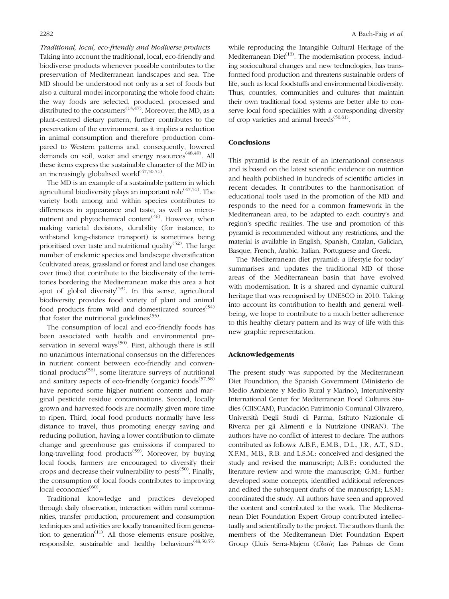Traditional, local, eco-friendly and biodiverse products Taking into account the traditional, local, eco-friendly and biodiverse products whenever possible contributes to the preservation of Mediterranean landscapes and sea. The MD should be understood not only as a set of foods but also a cultural model incorporating the whole food chain: the way foods are selected, produced, processed and distributed to the consumers $^{(13,47)}$ . Moreover, the MD, as a plant-centred dietary pattern, further contributes to the preservation of the environment, as it implies a reduction in animal consumption and therefore production compared to Western patterns and, consequently, lowered demands on soil, water and energy resources<sup>(48,49)</sup>. All these items express the sustainable character of the MD in an increasingly globalised world $(47,50,51)$ .

The MD is an example of a sustainable pattern in which agricultural biodiversity plays an important role<sup> $(47,51)$ </sup>. The variety both among and within species contributes to differences in appearance and taste, as well as micronutrient and phytochemical content<sup> $(46)$ </sup>. However, when making varietal decisions, durability (for instance, to withstand long-distance transport) is sometimes being prioritised over taste and nutritional quality<sup>(52)</sup>. The large number of endemic species and landscape diversification (cultivated areas, grassland or forest and land use changes over time) that contribute to the biodiversity of the territories bordering the Mediterranean make this area a hot spot of global diversity<sup>(53)</sup>. In this sense, agricultural biodiversity provides food variety of plant and animal food products from wild and domesticated sources<sup> $(54)$ </sup> that foster the nutritional guidelines<sup>(55)</sup>.

The consumption of local and eco-friendly foods has been associated with health and environmental preservation in several ways<sup>(50)</sup>. First, although there is still no unanimous international consensus on the differences in nutrient content between eco-friendly and conventional products<sup> $(56)$ </sup>, some literature surveys of nutritional and sanitary aspects of eco-friendly (organic) foods $(57,58)$ have reported some higher nutrient contents and marginal pesticide residue contaminations. Second, locally grown and harvested foods are normally given more time to ripen. Third, local food products normally have less distance to travel, thus promoting energy saving and reducing pollution, having a lower contribution to climate change and greenhouse gas emissions if compared to long-travelling food products<sup>(59)</sup>. Moreover, by buying local foods, farmers are encouraged to diversify their crops and decrease their vulnerability to pests<sup> $(50)$ </sup>. Finally, the consumption of local foods contributes to improving local economies<sup>(60)</sup>.

Traditional knowledge and practices developed through daily observation, interaction within rural communities, transfer production, procurement and consumption techniques and activities are locally transmitted from generation to generation<sup> $(11)$ </sup>. All those elements ensure positive, responsible, sustainable and healthy behaviours<sup>(48,50,55)</sup>

while reproducing the Intangible Cultural Heritage of the Mediterranean  $\text{Diet}^{(13)}$ . The modernisation process, including sociocultural changes and new technologies, has transformed food production and threatens sustainable orders of life, such as local foodstuffs and environmental biodiversity. Thus, countries, communities and cultures that maintain their own traditional food systems are better able to conserve local food specialities with a corresponding diversity of crop varieties and animal breeds $(50,61)$ .

# Conclusions

This pyramid is the result of an international consensus and is based on the latest scientific evidence on nutrition and health published in hundreds of scientific articles in recent decades. It contributes to the harmonisation of educational tools used in the promotion of the MD and responds to the need for a common framework in the Mediterranean area, to be adapted to each country's and region's specific realities. The use and promotion of this pyramid is recommended without any restrictions, and the material is available in English, Spanish, Catalan, Galician, Basque, French, Arabic, Italian, Portuguese and Greek.

The 'Mediterranean diet pyramid: a lifestyle for today' summarises and updates the traditional MD of those areas of the Mediterranean basin that have evolved with modernisation. It is a shared and dynamic cultural heritage that was recognised by UNESCO in 2010. Taking into account its contribution to health and general wellbeing, we hope to contribute to a much better adherence to this healthy dietary pattern and its way of life with this new graphic representation.

## Acknowledgements

The present study was supported by the Mediterranean Diet Foundation, the Spanish Government (Ministerio de Medio Ambiente y Medio Rural y Marino), Interuniversity International Center for Mediterranean Food Cultures Studies (CIISCAM), Fundación Patrimonio Comunal Olivarero, Universita` Degli Studi di Parma, Istituto Nazionale di Riverca per gli Alimenti e la Nutrizione (INRAN). The authors have no conflict of interest to declare. The authors contributed as follows: A.B.F., E.M.B., D.L., J.R., A.T., S.D., X.F.M., M.B., R.B. and L.S.M.: conceived and designed the study and revised the manuscript; A.B.F.: conducted the literature review and wrote the manuscript; G.M.: further developed some concepts, identified additional references and edited the subsequent drafts of the manuscript; L.S.M.: coordinated the study. All authors have seen and approved the content and contributed to the work. The Mediterranean Diet Foundation Expert Group contributed intellectually and scientifically to the project. The authors thank the members of the Mediterranean Diet Foundation Expert Group (Lluís Serra-Majem (Chair, Las Palmas de Gran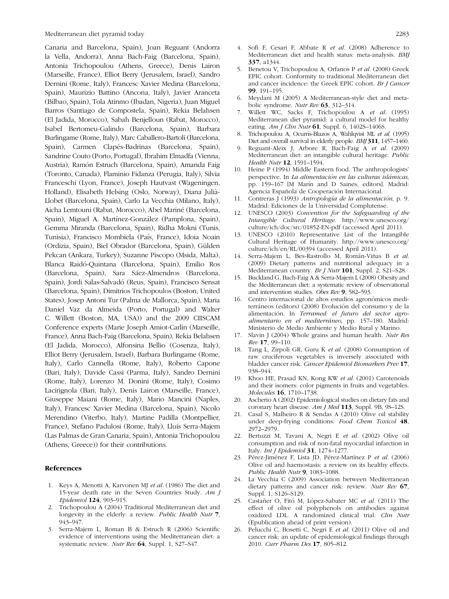Canaria and Barcelona, Spain), Joan Reguant (Andorra la Vella, Andorra), Anna Bach-Faig (Barcelona, Spain), Antonia Trichopoulou (Athens, Greece), Denis Lairon (Marseille, France), Elliot Berry (Jerusalem, Israel), Sandro Dernini (Rome, Italy), Francesc Xavier Medina (Barcelona, Spain), Maurizio Battino (Ancona, Italy), Javier Aranceta (Bilbao, Spain), Tola Atinmo (Ibadan, Nigeria), Juan Miguel Barros (Santiago de Compostela, Spain), Rekia Belahsen (El Jadida, Morocco), Sabah Benjelloun (Rabat, Morocco), Isabel Bertomeu-Galindo (Barcelona, Spain), Barbara Burlingame (Rome, Italy), Marc Caballero-Bartolí (Barcelona, Spain), Carmen Clapés-Badrinas (Barcelona, Spain), Sandrine Couto (Porto, Portugal), Ibrahim Elmadfa (Vienna, Austria), Ramón Estruch (Barcelona, Spain), Amanda Faig (Toronto, Canada), Flaminio Fidanza (Perugia, Italy), Silvia Franceschi (Lyon, France), Joseph Hautvast (Wageningen, Holland), Elisabeth Helsing (Oslo, Norway), Diana Julià-Llobet (Barcelona, Spain), Carlo La Vecchia (Milano, Italy), Aicha Lemtouni (Rabat, Morocco), Abel Mariné (Barcelona, Spain), Miguel A. Martínez-González (Pamplona, Spain), Gemma Miranda (Barcelona, Spain), Ridha Mokni (Tunis, Tunisia), Francisco Mombiela (Paı´s, France), Idoia Noain (Ordizia, Spain), Biel Obrador (Barcelona, Spain), Gülden Pekcan (Ankara, Turkey), Suzanne Piscopo (Msida, Malta), Blanca Raido´-Quintana (Barcelona, Spain), Emilio Ros (Barcelona, Spain), Sara Sáez-Almendros (Barcelona, Spain), Jordi Salas-Salvado´ (Reus, Spain), Francisco Sensat (Barcelona, Spain), Dimitrios Trichopoulos (Boston, United States), Josep Antoni Tur (Palma de Mallorca, Spain), Maria Daniel Vaz da Almeida (Porto, Portugal) and Walter C. Willett (Boston, MA, USA)) and the 2009 CIISCAM Conference experts (Marie Joseph Amiot-Carlin (Marseille, France), Anna Bach-Faig (Barcelona, Spain), Rekia Belahsen (El Jadida, Morocco), Alfonsina Bellio (Cosenza, Italy), Elliot Berry (Jerusalem, Israel), Barbara Burlingame (Rome, Italy), Carlo Cannella (Rome, Italy), Roberto Capone (Bari, Italy), Davide Cassi (Parma, Italy), Sandro Dernini (Rome, Italy), Lorenzo M. Donini (Rome, Italy), Cosimo Lacirignola (Bari, Italy), Denis Lairon (Marseille, France), Giuseppe Maiani (Rome, Italy), Mario Mancini (Naples, Italy), Francesc Xavier Medina (Barcelona, Spain), Nicolo Merendino (Viterbo, Italy), Martine Padilla (Montpellier, France), Stefano Padulosi (Rome, Italy), Lluís Serra-Majem (Las Palmas de Gran Canaria, Spain), Antonia Trichopoulou (Athens, Greece)) for their contributions.

#### References

- 1. Keys A, Menotti A, Karvonen MJ et al. (1986) The diet and 15-year death rate in the Seven Countries Study. Am J Epidemiol 124, 903–915.
- 2. Trichopoulou A (2004) Traditional Mediterranean diet and longevity in the elderly: a review. Public Health Nutr 7, 943–947.
- 3. Serra-Majem L, Roman B & Estruch R (2006) Scientific evidence of interventions using the Mediterranean diet: a systematic review. Nutr Rev 64, Suppl. 1, S27–S47.
- 4. Sofi F, Cesari F, Abbate R et al. (2008) Adherence to Mediterranean diet and health status: meta-analysis. BMJ 337, a1344.
- 5. Benetou V, Trichopoulou A, Orfanos P et al. (2008) Greek EPIC cohort. Conformity to traditional Mediterranean diet and cancer incidence: the Greek EPIC cohort. Br J Cancer 99, 191–195.
- 6. Meydani M (2005) A Mediterranean-style diet and metabolic syndrome. Nutr Rev 63, 312–314.
- 7. Willett WC, Sacks F, Trichopoulou A et al. (1995) Mediterranean diet pyramid: a cultural model for healthy eating.  $Am J Clin Nutr$  61, Suppl. 6, 1402S-1406S.
- Trichopoulou A, Ocurrís-Blazos A, Wahlqvist ML et al. (1995) Diet and overall survival in elderly people. BMJ 311, 1457–1460.
- 9. Reguant-Aleix J, Arbore R, Bach-Faig A et al. (2009) Mediterranean diet: an intangible cultural heritage. Public Health Nutr 12, 1591–1594.
- 10. Heine P (1994) Middle Eastern food. The anthropologists' perspective. In La alimentación en las culturas islámicas, pp. 159-167 [M Marín and D Saines, editors]. Madrid: Agencia Española de Cooperación Internacional.
- 11. Contreras J (1993) Antropología de la alimentación, p. 9. Madrid: Ediciones de la Universidad Complutense.
- 12. UNESCO (2003) Convention for the Safeguarding of the Intangible Cultural Heritage. http://www.unesco.org/ culture/ich/doc/src/01852-EN-pdf (accessed April 2011).
- 13. UNESCO (2010) Representative List of the Intangible Cultural Heritage of Humanity. http://www.unesco.org/ culture/ich/en/RL/00394 (accessed April 2011).
- 14. Serra-Majem L, Bes-Rastrollo M, Román-Viñas B et al. (2009) Dietary patterns and nutritional adequacy in a Mediterranean country. Br J Nutr 101, Suppl. 2, S21-S28.
- 15. Buckland G, Bach-Faig A & Serra-Majem L (2008) Obesity and the Mediterranean diet: a systematic review of observational and intervention studies. Obes Rev 9, 582–593.
- 16. Centro internacional de altos estudios agronómicos mediterráneos (editors) (2008) Evolución del consumo y de la alimentación. In Terramed: el futuro del sector agroalimentario en el mediterráneo, pp. 157-180. Madrid: Ministerio de Medio Ambiente y Medio Rural y Marino.
- 17. Slavin J (2004) Whole grains and human health. Nutr Res Rev 17, 99–110.
- 18. Tang L, Zirpoli GR, Guru K et al. (2008) Consumption of raw cruciferous vegetables is inversely associated with bladder cancer risk. Cancer Epidemiol Biomarkers Prev 17, 938–944.
- 19. Khoo HE, Prasad KN, Kong KW et al. (2001) Carotenoids and their isomers: color pigments in fruits and vegetables. Molecules 16, 1710–1738.
- 20. Ascherio A (2002) Epidemiological studies on dietary fats and coronary heart disease. Am J Med 113, Suppl. 9B, 9S–12S.
- 21. Casal S, Malheiro R & Sendas A (2010) Olive oil stability under deep-frying conditions. Food Chem Toxicol 48, 2972–2979.
- 22. Bertuzzi M, Tavani A, Negri E et al. (2002) Olive oil consumption and risk of non-fatal myocardial infarction in Italy. Int J Epidemiol 31, 1274-1277.
- 23. Pérez-Jiménez F, Lista JD, Pérez-Martínez P et al. (2006) Olive oil and haemostasis: a review on its healthy effects. Public Health Nutr 9, 1083–1088.
- 24. La Vecchia C (2009) Association between Mediterranean dietary patterns and cancer risk: review. Nutr Rev 67, Suppl. 1, S126–S129.
- 25. Castañer O, Fitó M, López-Sabater MC et al. (2011) The effect of olive oil polyphenols on antibodies against oxidized LDL. A randomized clinical trial. Clin Nutr (Epublication ahead of print version).
- 26. Pelucchi C, Bosetti C, Negri E et al. (2011) Olive oil and cancer risk: an update of epidemiological findings through 2010. Curr Pharm Des 17, 805–812.